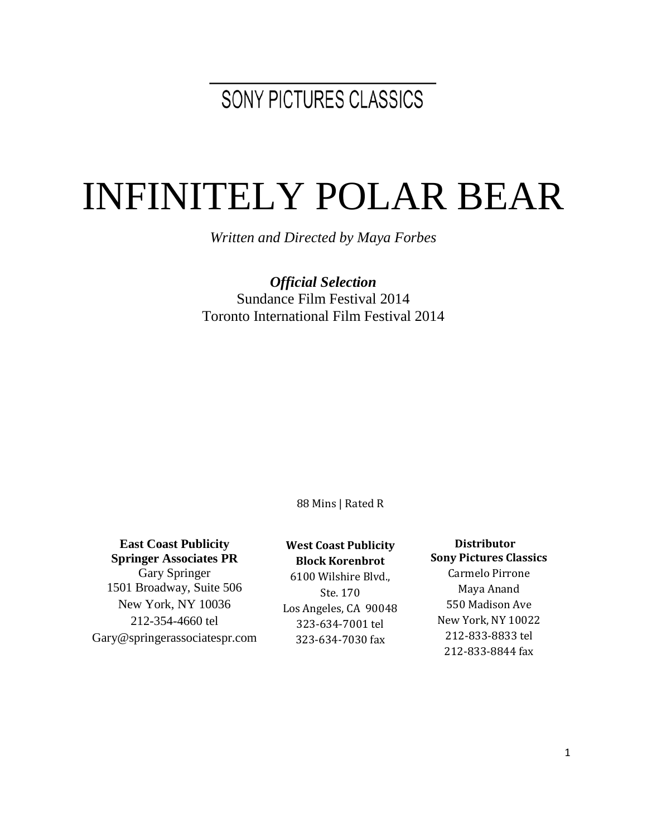# SONY PICTURES CLASSICS

# INFINITELY POLAR BEAR

*Written and Directed by Maya Forbes*

*Official Selection* Sundance Film Festival 2014 Toronto International Film Festival 2014

88 Mins | Rated R

#### **East Coast Publicity Springer Associates PR**

Gary Springer 1501 Broadway, Suite 506 New York, NY 10036 212-354-4660 tel Gary@springerassociatespr.com

#### **West Coast Publicity**

**Block Korenbrot**

6100 Wilshire Blvd., Ste. 170 Los Angeles, CA 90048 323-634-7001 tel 323-634-7030 fax

#### **Distributor Sony Pictures Classics** Carmelo Pirrone Maya Anand 550 Madison Ave New York, NY 10022 212-833-8833 tel 212-833-8844 fax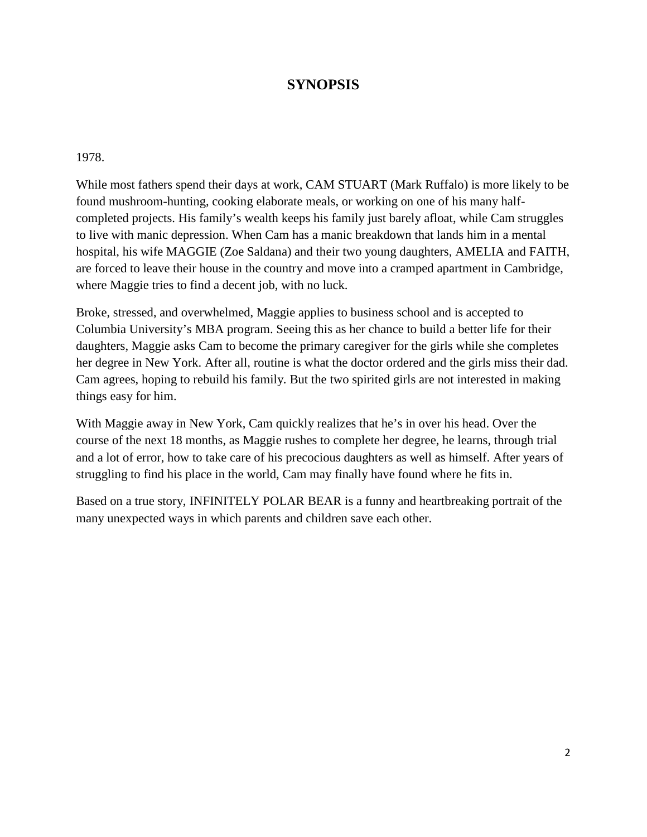#### **SYNOPSIS**

#### 1978.

While most fathers spend their days at work, CAM STUART (Mark Ruffalo) is more likely to be found mushroom-hunting, cooking elaborate meals, or working on one of his many halfcompleted projects. His family's wealth keeps his family just barely afloat, while Cam struggles to live with manic depression. When Cam has a manic breakdown that lands him in a mental hospital, his wife MAGGIE (Zoe Saldana) and their two young daughters, AMELIA and FAITH, are forced to leave their house in the country and move into a cramped apartment in Cambridge, where Maggie tries to find a decent job, with no luck.

Broke, stressed, and overwhelmed, Maggie applies to business school and is accepted to Columbia University's MBA program. Seeing this as her chance to build a better life for their daughters, Maggie asks Cam to become the primary caregiver for the girls while she completes her degree in New York. After all, routine is what the doctor ordered and the girls miss their dad. Cam agrees, hoping to rebuild his family. But the two spirited girls are not interested in making things easy for him.

With Maggie away in New York, Cam quickly realizes that he's in over his head. Over the course of the next 18 months, as Maggie rushes to complete her degree, he learns, through trial and a lot of error, how to take care of his precocious daughters as well as himself. After years of struggling to find his place in the world, Cam may finally have found where he fits in.

Based on a true story, INFINITELY POLAR BEAR is a funny and heartbreaking portrait of the many unexpected ways in which parents and children save each other.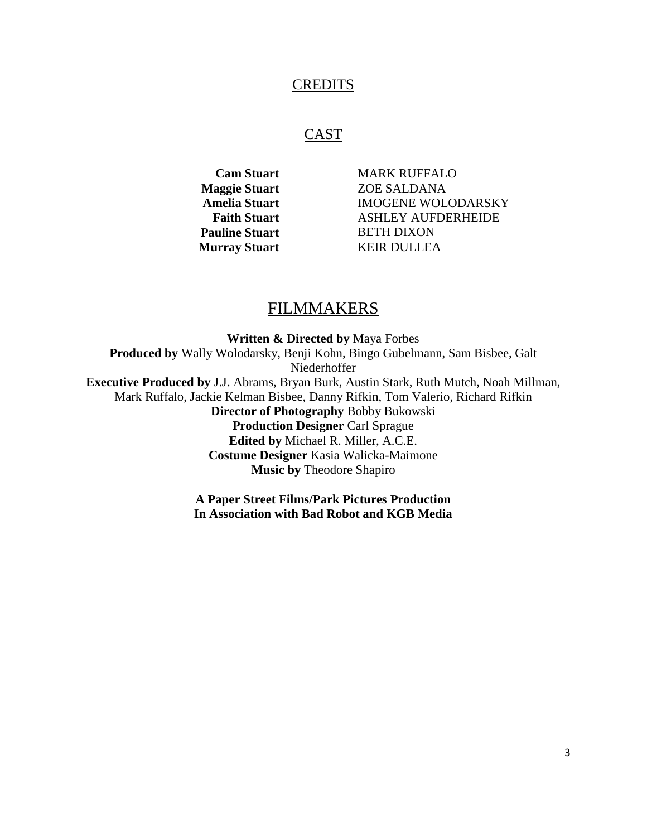#### **CREDITS**

#### **CAST**

**Pauline Stuart** BETH DIXON **Murray Stuart KEIR DULLEA** 

**Cam Stuart** MARK RUFFALO **Maggie Stuart** ZOE SALDANA **Amelia Stuart** IMOGENE WOLODARSKY **Faith Stuart Manual ASHLEY AUFDERHEIDE** 

#### FILMMAKERS

**Written & Directed by** Maya Forbes **Produced by** Wally Wolodarsky, Benji Kohn, Bingo Gubelmann, Sam Bisbee, Galt Niederhoffer **Executive Produced by** J.J. Abrams, Bryan Burk, Austin Stark, Ruth Mutch, Noah Millman, Mark Ruffalo, Jackie Kelman Bisbee, Danny Rifkin, Tom Valerio, Richard Rifkin **Director of Photography** Bobby Bukowski **Production Designer** Carl Sprague **Edited by** Michael R. Miller, A.C.E. **Costume Designer** Kasia Walicka-Maimone **Music by** Theodore Shapiro

**A Paper Street Films/Park Pictures Production In Association with Bad Robot and KGB Media**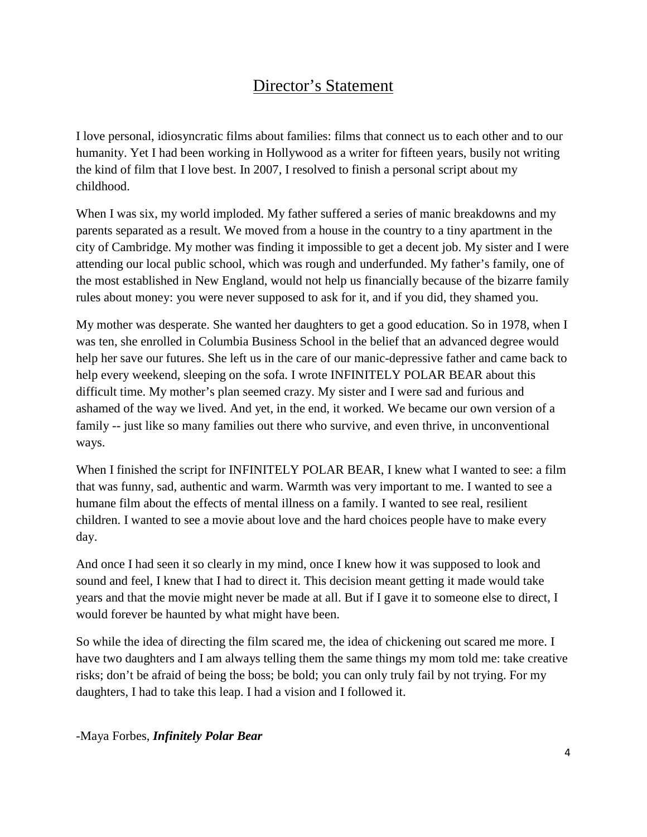# Director's Statement

I love personal, idiosyncratic films about families: films that connect us to each other and to our humanity. Yet I had been working in Hollywood as a writer for fifteen years, busily not writing the kind of film that I love best. In 2007, I resolved to finish a personal script about my childhood.

When I was six, my world imploded. My father suffered a series of manic breakdowns and my parents separated as a result. We moved from a house in the country to a tiny apartment in the city of Cambridge. My mother was finding it impossible to get a decent job. My sister and I were attending our local public school, which was rough and underfunded. My father's family, one of the most established in New England, would not help us financially because of the bizarre family rules about money: you were never supposed to ask for it, and if you did, they shamed you.

My mother was desperate. She wanted her daughters to get a good education. So in 1978, when I was ten, she enrolled in Columbia Business School in the belief that an advanced degree would help her save our futures. She left us in the care of our manic-depressive father and came back to help every weekend, sleeping on the sofa. I wrote INFINITELY POLAR BEAR about this difficult time. My mother's plan seemed crazy. My sister and I were sad and furious and ashamed of the way we lived. And yet, in the end, it worked. We became our own version of a family -- just like so many families out there who survive, and even thrive, in unconventional ways.

When I finished the script for INFINITELY POLAR BEAR, I knew what I wanted to see: a film that was funny, sad, authentic and warm. Warmth was very important to me. I wanted to see a humane film about the effects of mental illness on a family. I wanted to see real, resilient children. I wanted to see a movie about love and the hard choices people have to make every day.

And once I had seen it so clearly in my mind, once I knew how it was supposed to look and sound and feel, I knew that I had to direct it. This decision meant getting it made would take years and that the movie might never be made at all. But if I gave it to someone else to direct, I would forever be haunted by what might have been.

So while the idea of directing the film scared me, the idea of chickening out scared me more. I have two daughters and I am always telling them the same things my mom told me: take creative risks; don't be afraid of being the boss; be bold; you can only truly fail by not trying. For my daughters, I had to take this leap. I had a vision and I followed it.

#### -Maya Forbes, *Infinitely Polar Bear*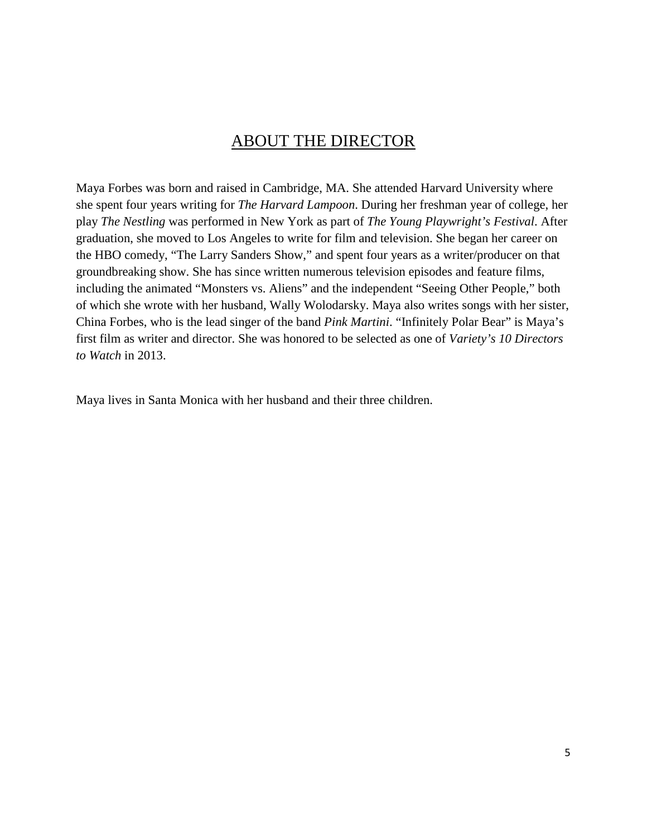### ABOUT THE DIRECTOR

Maya Forbes was born and raised in Cambridge, MA. She attended Harvard University where she spent four years writing for *The Harvard Lampoon*. During her freshman year of college, her play *The Nestling* was performed in New York as part of *The Young Playwright's Festival*. After graduation, she moved to Los Angeles to write for film and television. She began her career on the HBO comedy, "The Larry Sanders Show," and spent four years as a writer/producer on that groundbreaking show. She has since written numerous television episodes and feature films, including the animated "Monsters vs. Aliens" and the independent "Seeing Other People," both of which she wrote with her husband, Wally Wolodarsky. Maya also writes songs with her sister, China Forbes, who is the lead singer of the band *Pink Martini*. "Infinitely Polar Bear" is Maya's first film as writer and director. She was honored to be selected as one of *Variety's 10 Directors to Watch* in 2013.

Maya lives in Santa Monica with her husband and their three children.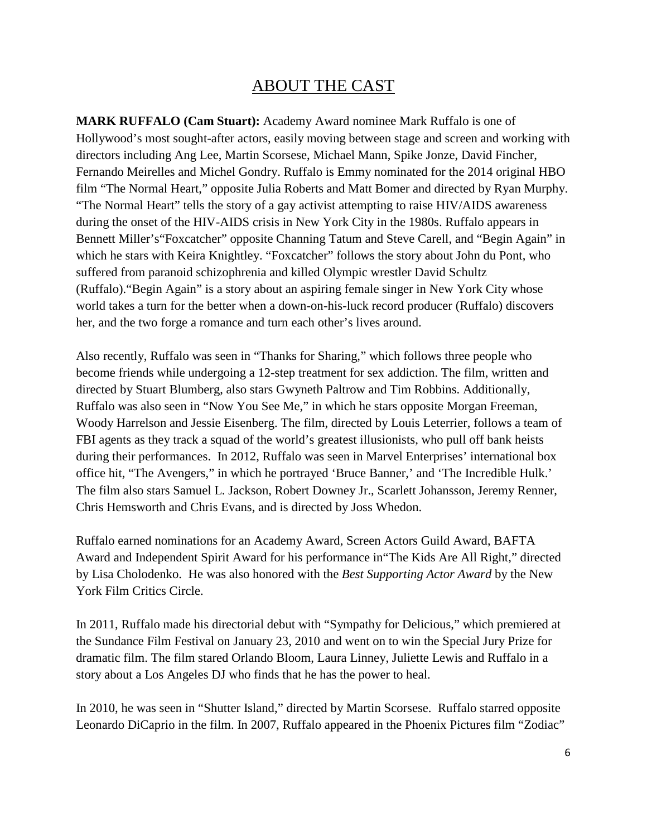# ABOUT THE CAST

**MARK RUFFALO (Cam Stuart):** Academy Award nominee Mark Ruffalo is one of Hollywood's most sought-after actors, easily moving between stage and screen and working with directors including Ang Lee, Martin Scorsese, Michael Mann, Spike Jonze, David Fincher, Fernando Meirelles and Michel Gondry. Ruffalo is Emmy nominated for the 2014 original HBO film "The Normal Heart," opposite Julia Roberts and Matt Bomer and directed by Ryan Murphy. "The Normal Heart" tells the story of a gay activist attempting to raise HIV/AIDS awareness during the onset of the HIV-AIDS crisis in New York City in the 1980s. Ruffalo appears in Bennett Miller's "Foxcatcher" opposite Channing Tatum and Steve Carell, and "Begin Again" in which he stars with Keira Knightley. "Foxcatcher" follows the story about John du Pont, who suffered from paranoid schizophrenia and killed Olympic wrestler David Schultz (Ruffalo)."Begin Again" is a story about an aspiring female singer in New York City whose world takes a turn for the better when a down-on-his-luck record producer (Ruffalo) discovers her, and the two forge a romance and turn each other's lives around.

Also recently, Ruffalo was seen in "Thanks for Sharing," which follows three people who become friends while undergoing a 12-step treatment for sex addiction. The film, written and directed by Stuart Blumberg, also stars Gwyneth Paltrow and Tim Robbins. Additionally, Ruffalo was also seen in "Now You See Me," in which he stars opposite Morgan Freeman, Woody Harrelson and Jessie Eisenberg. The film, directed by Louis Leterrier, follows a team of FBI agents as they track a squad of the world's greatest illusionists, who pull off bank heists during their performances. In 2012, Ruffalo was seen in Marvel Enterprises' international box office hit, "The Avengers," in which he portrayed 'Bruce Banner,' and 'The Incredible Hulk.' The film also stars Samuel L. Jackson, Robert Downey Jr., Scarlett Johansson, Jeremy Renner, Chris Hemsworth and Chris Evans, and is directed by Joss Whedon.

Ruffalo earned nominations for an Academy Award, Screen Actors Guild Award, BAFTA Award and Independent Spirit Award for his performance in"The Kids Are All Right," directed by Lisa Cholodenko. He was also honored with the *Best Supporting Actor Award* by the New York Film Critics Circle.

In 2011, Ruffalo made his directorial debut with "Sympathy for Delicious," which premiered at the Sundance Film Festival on January 23, 2010 and went on to win the Special Jury Prize for dramatic film. The film stared Orlando Bloom, Laura Linney, Juliette Lewis and Ruffalo in a story about a Los Angeles DJ who finds that he has the power to heal.

In 2010, he was seen in "Shutter Island," directed by Martin Scorsese. Ruffalo starred opposite Leonardo DiCaprio in the film. In 2007, Ruffalo appeared in the Phoenix Pictures film "Zodiac"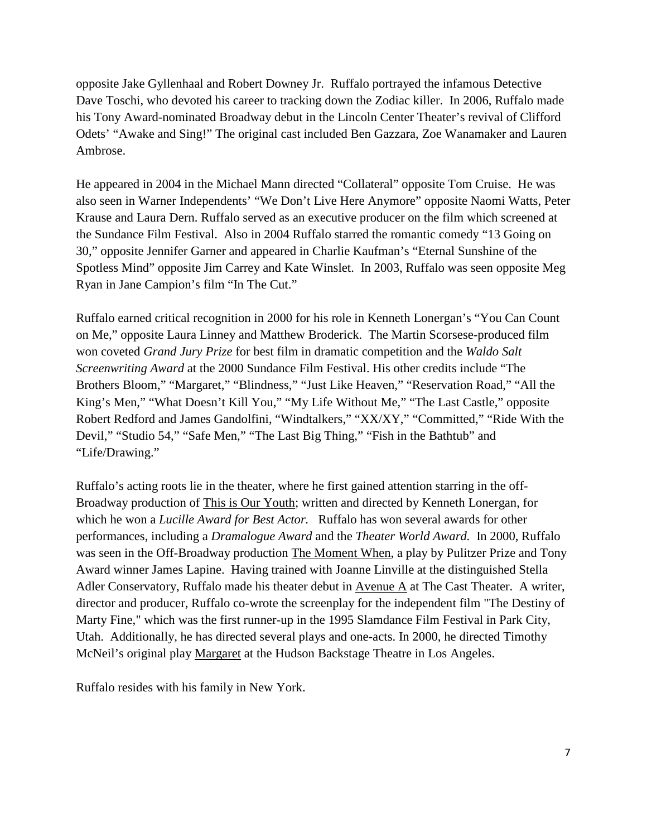opposite Jake Gyllenhaal and Robert Downey Jr. Ruffalo portrayed the infamous Detective Dave Toschi, who devoted his career to tracking down the Zodiac killer. In 2006, Ruffalo made his Tony Award-nominated Broadway debut in the Lincoln Center Theater's revival of Clifford Odets' "Awake and Sing!" The original cast included Ben Gazzara, Zoe Wanamaker and Lauren Ambrose.

He appeared in 2004 in the Michael Mann directed "Collateral" opposite Tom Cruise. He was also seen in Warner Independents' "We Don't Live Here Anymore" opposite Naomi Watts, Peter Krause and Laura Dern. Ruffalo served as an executive producer on the film which screened at the Sundance Film Festival. Also in 2004 Ruffalo starred the romantic comedy "13 Going on 30," opposite Jennifer Garner and appeared in Charlie Kaufman's "Eternal Sunshine of the Spotless Mind" opposite Jim Carrey and Kate Winslet. In 2003, Ruffalo was seen opposite Meg Ryan in Jane Campion's film "In The Cut."

Ruffalo earned critical recognition in 2000 for his role in Kenneth Lonergan's "You Can Count on Me," opposite Laura Linney and Matthew Broderick. The Martin Scorsese-produced film won coveted *Grand Jury Prize* for best film in dramatic competition and the *Waldo Salt Screenwriting Award* at the 2000 Sundance Film Festival. His other credits include "The Brothers Bloom," "Margaret," "Blindness," "Just Like Heaven," "Reservation Road," "All the King's Men," "What Doesn't Kill You," "My Life Without Me," "The Last Castle," opposite Robert Redford and James Gandolfini, "Windtalkers," "XX/XY," "Committed," "Ride With the Devil," "Studio 54," "Safe Men," "The Last Big Thing," "Fish in the Bathtub" and "Life/Drawing."

Ruffalo's acting roots lie in the theater, where he first gained attention starring in the off-Broadway production of This is Our Youth; written and directed by Kenneth Lonergan, for which he won a *Lucille Award for Best Actor.* Ruffalo has won several awards for other performances, including a *Dramalogue Award* and the *Theater World Award.* In 2000, Ruffalo was seen in the Off-Broadway production The Moment When, a play by Pulitzer Prize and Tony Award winner James Lapine. Having trained with Joanne Linville at the distinguished Stella Adler Conservatory, Ruffalo made his theater debut in Avenue A at The Cast Theater. A writer, director and producer, Ruffalo co-wrote the screenplay for the independent film "The Destiny of Marty Fine," which was the first runner-up in the 1995 Slamdance Film Festival in Park City, Utah. Additionally, he has directed several plays and one-acts. In 2000, he directed Timothy McNeil's original play Margaret at the Hudson Backstage Theatre in Los Angeles.

Ruffalo resides with his family in New York.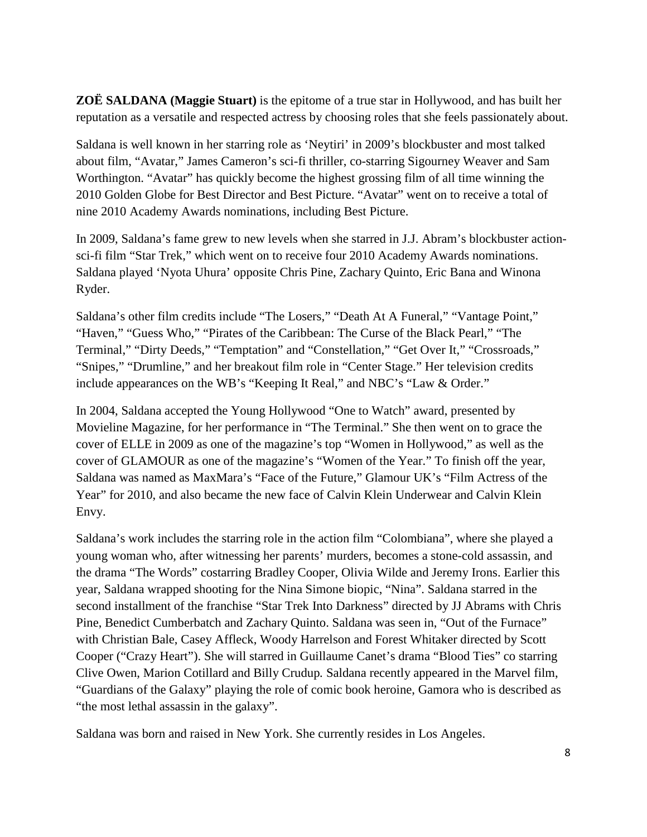**ZOË SALDANA (Maggie Stuart)** is the epitome of a true star in Hollywood, and has built her reputation as a versatile and respected actress by choosing roles that she feels passionately about.

Saldana is well known in her starring role as 'Neytiri' in 2009's blockbuster and most talked about film, "Avatar," James Cameron's sci-fi thriller, co-starring Sigourney Weaver and Sam Worthington. "Avatar" has quickly become the highest grossing film of all time winning the 2010 Golden Globe for Best Director and Best Picture. "Avatar" went on to receive a total of nine 2010 Academy Awards nominations, including Best Picture.

In 2009, Saldana's fame grew to new levels when she starred in J.J. Abram's blockbuster actionsci-fi film "Star Trek," which went on to receive four 2010 Academy Awards nominations. Saldana played 'Nyota Uhura' opposite Chris Pine, Zachary Quinto, Eric Bana and Winona Ryder.

Saldana's other film credits include "The Losers," "Death At A Funeral," "Vantage Point," "Haven," "Guess Who," "Pirates of the Caribbean: The Curse of the Black Pearl," "The Terminal," "Dirty Deeds," "Temptation" and "Constellation," "Get Over It," "Crossroads," "Snipes," "Drumline," and her breakout film role in "Center Stage." Her television credits include appearances on the WB's "Keeping It Real," and NBC's "Law & Order."

In 2004, Saldana accepted the Young Hollywood "One to Watch" award, presented by Movieline Magazine, for her performance in "The Terminal." She then went on to grace the cover of ELLE in 2009 as one of the magazine's top "Women in Hollywood," as well as the cover of GLAMOUR as one of the magazine's "Women of the Year." To finish off the year, Saldana was named as MaxMara's "Face of the Future," Glamour UK's "Film Actress of the Year" for 2010, and also became the new face of Calvin Klein Underwear and Calvin Klein Envy.

Saldana's work includes the starring role in the action film "Colombiana", where she played a young woman who, after witnessing her parents' murders, becomes a stone-cold assassin, and the drama "The Words" costarring Bradley Cooper, Olivia Wilde and Jeremy Irons. Earlier this year, Saldana wrapped shooting for the Nina Simone biopic, "Nina". Saldana starred in the second installment of the franchise "Star Trek Into Darkness" directed by JJ Abrams with Chris Pine, Benedict Cumberbatch and Zachary Quinto. Saldana was seen in, "Out of the Furnace" with Christian Bale, Casey Affleck, Woody Harrelson and Forest Whitaker directed by Scott Cooper ("Crazy Heart"). She will starred in Guillaume Canet's drama "Blood Ties" co starring Clive Owen, Marion Cotillard and Billy Crudup*.* Saldana recently appeared in the Marvel film, "Guardians of the Galaxy" playing the role of comic book heroine, Gamora who is described as "the most lethal assassin in the galaxy".

Saldana was born and raised in New York. She currently resides in Los Angeles.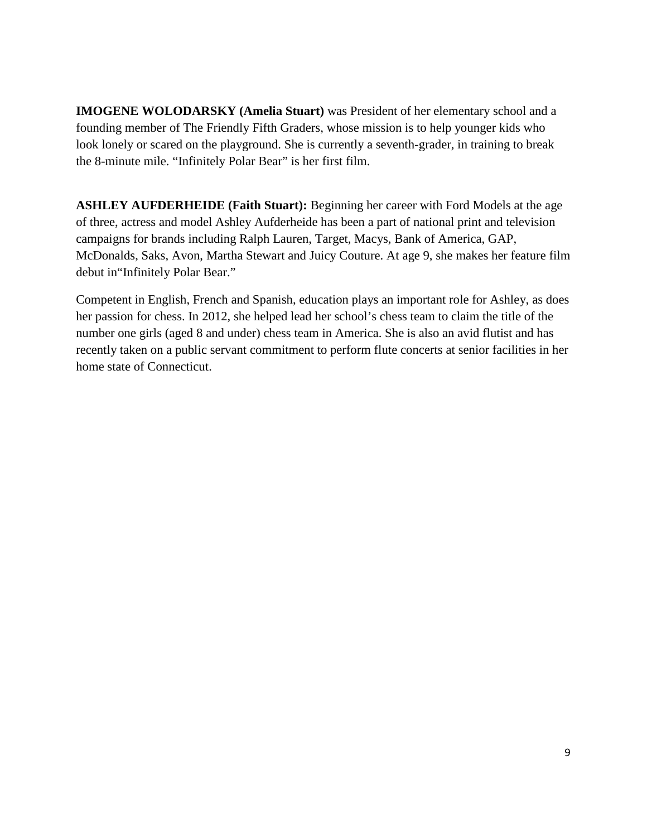**IMOGENE WOLODARSKY (Amelia Stuart)** was President of her elementary school and a founding member of The Friendly Fifth Graders, whose mission is to help younger kids who look lonely or scared on the playground. She is currently a seventh-grader, in training to break the 8-minute mile. "Infinitely Polar Bear" is her first film.

**ASHLEY AUFDERHEIDE (Faith Stuart):** Beginning her career with Ford Models at the age of three, actress and model Ashley Aufderheide has been a part of national print and television campaigns for brands including Ralph Lauren, Target, Macys, Bank of America, GAP, McDonalds, Saks, Avon, Martha Stewart and Juicy Couture. At age 9, she makes her feature film debut in"Infinitely Polar Bear."

Competent in English, French and Spanish, education plays an important role for Ashley, as does her passion for chess. In 2012, she helped lead her school's chess team to claim the title of the number one girls (aged 8 and under) chess team in America. She is also an avid flutist and has recently taken on a public servant commitment to perform flute concerts at senior facilities in her home state of Connecticut.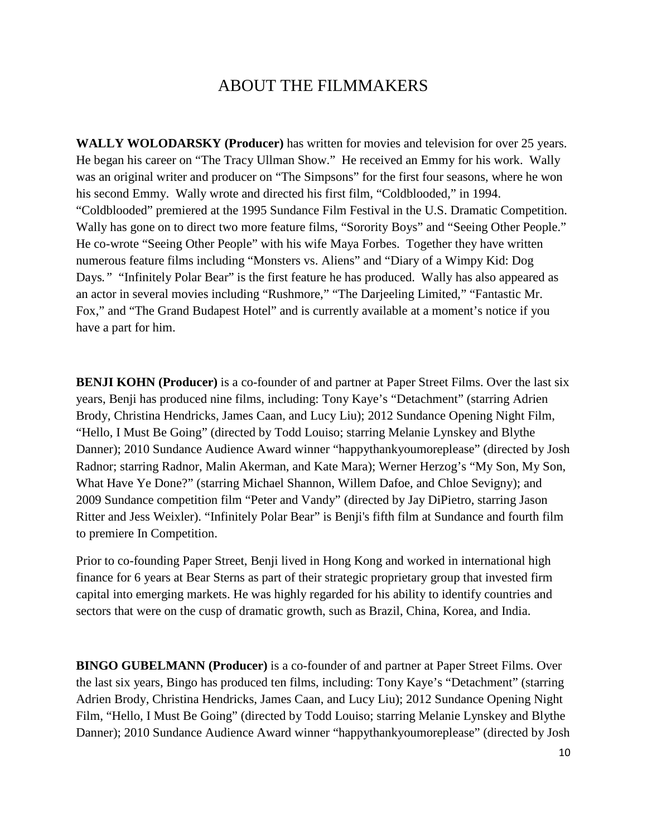## ABOUT THE FILMMAKERS

**WALLY WOLODARSKY (Producer)** has written for movies and television for over 25 years. He began his career on "The Tracy Ullman Show." He received an Emmy for his work. Wally was an original writer and producer on "The Simpsons" for the first four seasons, where he won his second Emmy. Wally wrote and directed his first film, "Coldblooded," in 1994. "Coldblooded" premiered at the 1995 Sundance Film Festival in the U.S. Dramatic Competition. Wally has gone on to direct two more feature films, "Sorority Boys" and "Seeing Other People." He co-wrote "Seeing Other People" with his wife Maya Forbes. Together they have written numerous feature films including "Monsters vs. Aliens" and "Diary of a Wimpy Kid: Dog Days*."* "Infinitely Polar Bear" is the first feature he has produced. Wally has also appeared as an actor in several movies including "Rushmore," "The Darjeeling Limited," "Fantastic Mr. Fox," and "The Grand Budapest Hotel" and is currently available at a moment's notice if you have a part for him.

**BENJI KOHN (Producer)** is a co-founder of and partner at Paper Street Films. Over the last six years, Benji has produced nine films, including: Tony Kaye's "Detachment" (starring Adrien Brody, Christina Hendricks, James Caan, and Lucy Liu); 2012 Sundance Opening Night Film, "Hello, I Must Be Going" (directed by Todd Louiso; starring Melanie Lynskey and Blythe Danner); 2010 Sundance Audience Award winner "happythankyoumoreplease" (directed by Josh Radnor; starring Radnor, Malin Akerman, and Kate Mara); Werner Herzog's "My Son, My Son, What Have Ye Done?" (starring Michael Shannon, Willem Dafoe, and Chloe Sevigny); and 2009 Sundance competition film "Peter and Vandy" (directed by Jay DiPietro, starring Jason Ritter and Jess Weixler). "Infinitely Polar Bear" is Benji's fifth film at Sundance and fourth film to premiere In Competition.

Prior to co-founding Paper Street, Benji lived in Hong Kong and worked in international high finance for 6 years at Bear Sterns as part of their strategic proprietary group that invested firm capital into emerging markets. He was highly regarded for his ability to identify countries and sectors that were on the cusp of dramatic growth, such as Brazil, China, Korea, and India.

**BINGO GUBELMANN (Producer)** is a co-founder of and partner at Paper Street Films. Over the last six years, Bingo has produced ten films, including: Tony Kaye's "Detachment" (starring Adrien Brody, Christina Hendricks, James Caan, and Lucy Liu); 2012 Sundance Opening Night Film, "Hello, I Must Be Going" (directed by Todd Louiso; starring Melanie Lynskey and Blythe Danner); 2010 Sundance Audience Award winner "happythankyoumoreplease" (directed by Josh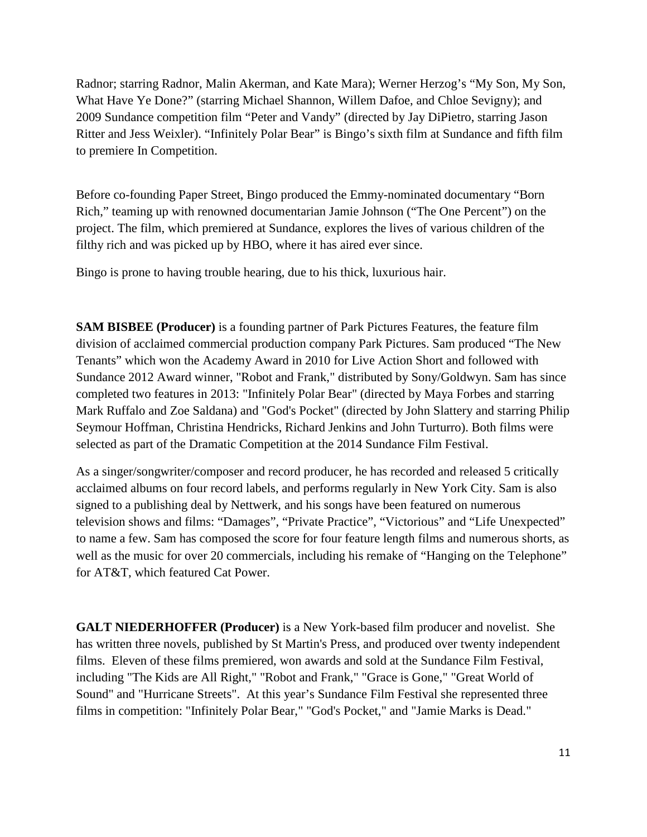Radnor; starring Radnor, Malin Akerman, and Kate Mara); Werner Herzog's "My Son, My Son, What Have Ye Done?" (starring Michael Shannon, Willem Dafoe, and Chloe Sevigny); and 2009 Sundance competition film "Peter and Vandy" (directed by Jay DiPietro, starring Jason Ritter and Jess Weixler). "Infinitely Polar Bear" is Bingo's sixth film at Sundance and fifth film to premiere In Competition.

Before co-founding Paper Street, Bingo produced the Emmy-nominated documentary "Born Rich," teaming up with renowned documentarian Jamie Johnson ("The One Percent") on the project. The film, which premiered at Sundance, explores the lives of various children of the filthy rich and was picked up by HBO, where it has aired ever since.

Bingo is prone to having trouble hearing, due to his thick, luxurious hair.

**SAM BISBEE (Producer)** is a founding partner of Park Pictures Features, the feature film division of acclaimed commercial production company Park Pictures. Sam produced "The New Tenants" which won the Academy Award in 2010 for Live Action Short and followed with Sundance 2012 Award winner, "Robot and Frank," distributed by Sony/Goldwyn. Sam has since completed two features in 2013: "Infinitely Polar Bear" (directed by Maya Forbes and starring Mark Ruffalo and Zoe Saldana) and "God's Pocket" (directed by John Slattery and starring Philip Seymour Hoffman, Christina Hendricks, Richard Jenkins and John Turturro). Both films were selected as part of the Dramatic Competition at the 2014 Sundance Film Festival.

As a singer/songwriter/composer and record producer, he has recorded and released 5 critically acclaimed albums on four record labels, and performs regularly in New York City. Sam is also signed to a publishing deal by Nettwerk, and his songs have been featured on numerous television shows and films: "Damages", "Private Practice", "Victorious" and "Life Unexpected" to name a few. Sam has composed the score for four feature length films and numerous shorts, as well as the music for over 20 commercials, including his remake of "Hanging on the Telephone" for AT&T, which featured Cat Power.

**GALT NIEDERHOFFER (Producer)** is a New York-based film producer and novelist. She has written three novels, published by St Martin's Press, and produced over twenty independent films. Eleven of these films premiered, won awards and sold at the Sundance Film Festival, including "The Kids are All Right," "Robot and Frank," "Grace is Gone," "Great World of Sound" and "Hurricane Streets". At this year's Sundance Film Festival she represented three films in competition: "Infinitely Polar Bear," "God's Pocket," and "Jamie Marks is Dead."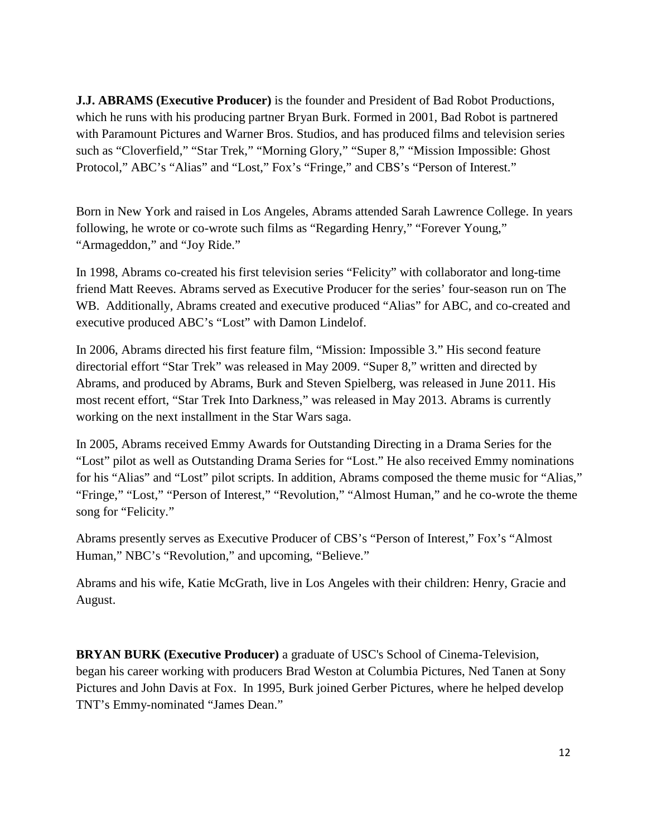**J.J. ABRAMS (Executive Producer)** is the founder and President of Bad Robot Productions, which he runs with his producing partner Bryan Burk. Formed in 2001, Bad Robot is partnered with Paramount Pictures and Warner Bros. Studios, and has produced films and television series such as "Cloverfield," "Star Trek," "Morning Glory," "Super 8," "Mission Impossible: Ghost Protocol," ABC's "Alias" and "Lost," Fox's "Fringe," and CBS's "Person of Interest."

Born in New York and raised in Los Angeles, Abrams attended Sarah Lawrence College. In years following, he wrote or co-wrote such films as "Regarding Henry," "Forever Young," "Armageddon," and "Joy Ride."

In 1998, Abrams co-created his first television series "Felicity" with collaborator and long-time friend Matt Reeves. Abrams served as Executive Producer for the series' four-season run on The WB. Additionally, Abrams created and executive produced "Alias" for ABC, and co-created and executive produced ABC's "Lost" with Damon Lindelof.

In 2006, Abrams directed his first feature film, "Mission: Impossible 3." His second feature directorial effort "Star Trek" was released in May 2009. "Super 8," written and directed by Abrams, and produced by Abrams, Burk and Steven Spielberg, was released in June 2011. His most recent effort, "Star Trek Into Darkness," was released in May 2013. Abrams is currently working on the next installment in the Star Wars saga.

In 2005, Abrams received Emmy Awards for Outstanding Directing in a Drama Series for the "Lost" pilot as well as Outstanding Drama Series for "Lost." He also received Emmy nominations for his "Alias" and "Lost" pilot scripts. In addition, Abrams composed the theme music for "Alias," "Fringe," "Lost," "Person of Interest," "Revolution," "Almost Human," and he co-wrote the theme song for "Felicity."

Abrams presently serves as Executive Producer of CBS's "Person of Interest," Fox's "Almost Human," NBC's "Revolution," and upcoming, "Believe."

Abrams and his wife, Katie McGrath, live in Los Angeles with their children: Henry, Gracie and August.

**BRYAN BURK (Executive Producer)** a graduate of USC's School of Cinema-Television, began his career working with producers Brad Weston at Columbia Pictures, Ned Tanen at Sony Pictures and John Davis at Fox. In 1995, Burk joined Gerber Pictures, where he helped develop TNT's Emmy-nominated "James Dean."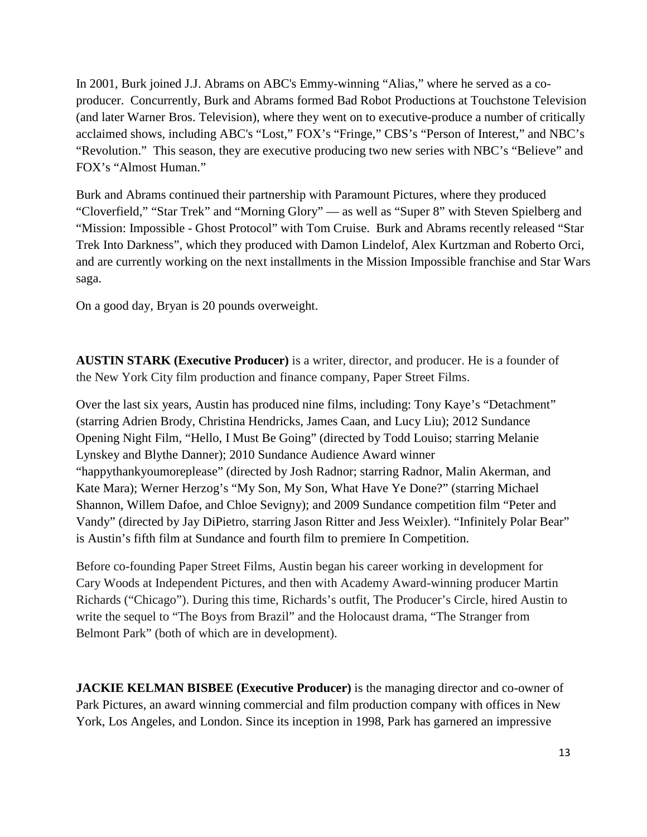In 2001, Burk joined J.J. Abrams on ABC's Emmy-winning "Alias," where he served as a coproducer. Concurrently, Burk and Abrams formed Bad Robot Productions at Touchstone Television (and later Warner Bros. Television), where they went on to executive-produce a number of critically acclaimed shows, including ABC's "Lost," FOX's "Fringe," CBS's "Person of Interest," and NBC's "Revolution." This season, they are executive producing two new series with NBC's "Believe" and FOX's "Almost Human."

Burk and Abrams continued their partnership with Paramount Pictures, where they produced "Cloverfield," "Star Trek" and "Morning Glory" — as well as "Super 8" with Steven Spielberg and "Mission: Impossible - Ghost Protocol" with Tom Cruise. Burk and Abrams recently released "Star Trek Into Darkness", which they produced with Damon Lindelof, Alex Kurtzman and Roberto Orci, and are currently working on the next installments in the Mission Impossible franchise and Star Wars saga.

On a good day, Bryan is 20 pounds overweight.

**AUSTIN STARK (Executive Producer)** is a writer, director, and producer. He is a founder of the New York City film production and finance company, Paper Street Films.

Over the last six years, Austin has produced nine films, including: Tony Kaye's "Detachment" (starring Adrien Brody, Christina Hendricks, James Caan, and Lucy Liu); 2012 Sundance Opening Night Film, "Hello, I Must Be Going" (directed by Todd Louiso; starring Melanie Lynskey and Blythe Danner); 2010 Sundance Audience Award winner "happythankyoumoreplease" (directed by Josh Radnor; starring Radnor, Malin Akerman, and Kate Mara); Werner Herzog's "My Son, My Son, What Have Ye Done?" (starring Michael Shannon, Willem Dafoe, and Chloe Sevigny); and 2009 Sundance competition film "Peter and Vandy" (directed by Jay DiPietro, starring Jason Ritter and Jess Weixler). "Infinitely Polar Bear" is Austin's fifth film at Sundance and fourth film to premiere In Competition.

Before co-founding Paper Street Films, Austin began his career working in development for Cary Woods at Independent Pictures, and then with Academy Award-winning producer Martin Richards ("Chicago"). During this time, Richards's outfit, The Producer's Circle, hired Austin to write the sequel to "The Boys from Brazil" and the Holocaust drama, "The Stranger from Belmont Park" (both of which are in development).

**JACKIE KELMAN BISBEE (Executive Producer)** is the managing director and co-owner of Park Pictures, an award winning commercial and film production company with offices in New York, Los Angeles, and London. Since its inception in 1998, Park has garnered an impressive